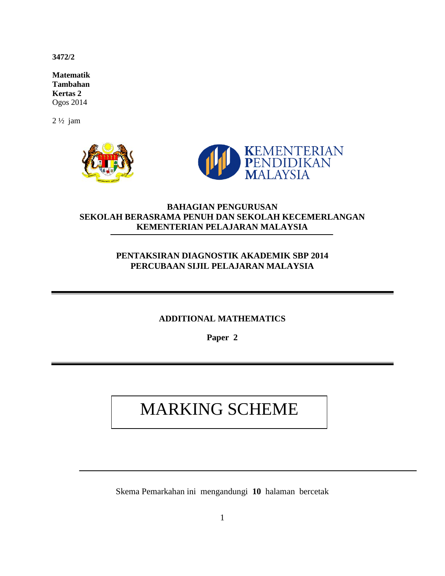**3472/2** 

**Matematik Tambahan Kertas 2** Ogos 2014

2 ½ jam



## **BAHAGIAN PENGURUSAN SEKOLAH BERASRAMA PENUH DAN SEKOLAH KECEMERLANGAN KEMENTERIAN PELAJARAN MALAYSIA**

## **PENTAKSIRAN DIAGNOSTIK AKADEMIK SBP 2014 PERCUBAAN SIJIL PELAJARAN MALAYSIA**

#### **ADDITIONAL MATHEMATICS**

**Paper 2**

# MARKING SCHEME

Skema Pemarkahan ini mengandungi **10** halaman bercetak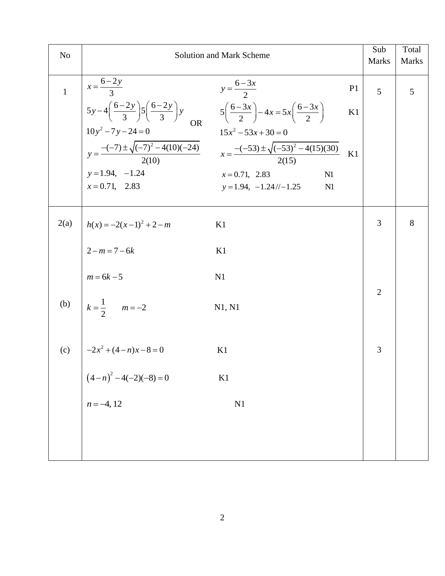| N <sub>o</sub> |                                                        | <b>Solution and Mark Scheme</b>                                                                                                                                                                                                                                                                                                                                                                   |                | Sub<br>Marks   | Total<br><b>Marks</b> |
|----------------|--------------------------------------------------------|---------------------------------------------------------------------------------------------------------------------------------------------------------------------------------------------------------------------------------------------------------------------------------------------------------------------------------------------------------------------------------------------------|----------------|----------------|-----------------------|
| $\mathbf{1}$   | $x = \frac{6-2y}{3}$                                   | $y = \frac{6-3x}{2}$                                                                                                                                                                                                                                                                                                                                                                              | P <sub>1</sub> | 5              | 5                     |
|                |                                                        |                                                                                                                                                                                                                                                                                                                                                                                                   |                |                |                       |
|                | $y = 1.94, -1.24$<br>$x = 0.71, 2.83$                  | $\begin{cases}\n5y-4\left(\frac{6-2y}{3}\right)5\left(\frac{6-2y}{3}\right)y & 5\left(\frac{6-3x}{2}\right)-4x=5x\left(\frac{6-3x}{2}\right) \\ 10y^2-7y-24=0 & 15x^2-53x+30=0 \\ y=\frac{-(-7)\pm\sqrt{(-7)^2-4(10)(-24)}}{2(10)} & x=\frac{-(-53)\pm\sqrt{(-53)^2-4(15)(30)}}{2(15)}\n\end{cases}$ K1<br>$x = 0.71, 2.83$<br>N <sub>1</sub><br>$y = 1.94, -1.24/\sqrt{-1.25}$<br>N <sub>1</sub> |                |                |                       |
| 2(a)           | $h(x) = -2(x-1)^2 + 2-m$                               | K1                                                                                                                                                                                                                                                                                                                                                                                                |                | 3              | 8                     |
|                | $2 - m = 7 - 6k$                                       | K1                                                                                                                                                                                                                                                                                                                                                                                                |                |                |                       |
|                | $m = 6k - 5$                                           | N1                                                                                                                                                                                                                                                                                                                                                                                                |                |                |                       |
|                | (b) $k = \frac{1}{2}$ $m = -2$                         | N1, N1                                                                                                                                                                                                                                                                                                                                                                                            |                | $\overline{2}$ |                       |
| (c)            | $\begin{vmatrix} -2x^2 + (4-n)x - 8 = 0 \end{vmatrix}$ | K1                                                                                                                                                                                                                                                                                                                                                                                                |                | 3              |                       |
|                | $(4-n)^2 - 4(-2)(-8) = 0$<br>$n = -4, 12$              | K1                                                                                                                                                                                                                                                                                                                                                                                                |                |                |                       |
|                |                                                        | N1                                                                                                                                                                                                                                                                                                                                                                                                |                |                |                       |
|                |                                                        |                                                                                                                                                                                                                                                                                                                                                                                                   |                |                |                       |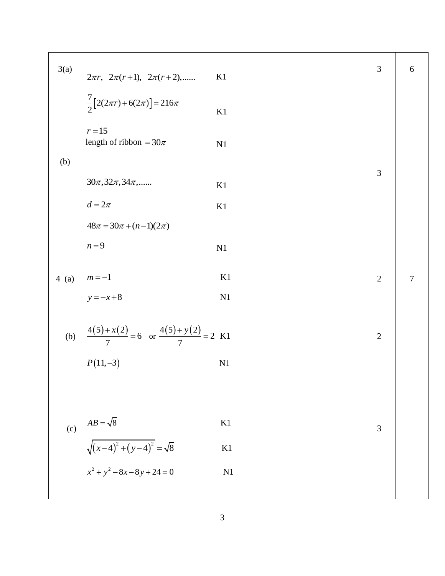| 3(a)    |                                                                                            | K1 | 3              | 6              |
|---------|--------------------------------------------------------------------------------------------|----|----------------|----------------|
|         | $2\pi r$ , $2\pi (r+1)$ , $2\pi (r+2)$ ,<br>$\frac{7}{2}[2(2\pi r)+6(2\pi)]=216\pi$        | K1 |                |                |
|         | $r = 15$<br>length of ribbon = $30\pi$                                                     | N1 |                |                |
| (b)     |                                                                                            |    |                |                |
|         | $30\pi, 32\pi, 34\pi,$<br>$d = 2\pi$<br>$48\pi = 30\pi + (n-1)(2\pi)$                      | K1 | 3              |                |
|         |                                                                                            | K1 |                |                |
|         |                                                                                            |    |                |                |
|         | $n=9$                                                                                      | N1 |                |                |
| $4$ (a) | -<br>$\begin{cases}\nm = -1 \\ y = -x + 8\n\end{cases}$<br>$(5) + x(2)$                    | K1 | $\overline{2}$ | $\overline{7}$ |
|         |                                                                                            | N1 |                |                |
|         |                                                                                            |    |                |                |
|         | (b) $\frac{4(5) + x(2)}{7} = 6$ or $\frac{4(5) + y(2)}{7} = 2$ K1<br>$P(11,-3)$            |    | $\overline{2}$ |                |
|         |                                                                                            |    |                |                |
|         |                                                                                            |    |                |                |
|         |                                                                                            |    |                |                |
| (c)     |                                                                                            | K1 | 3              |                |
|         | $AB = \sqrt{8}$<br>$\sqrt{(x-4)^2 + (y-4)^2} = \sqrt{8}$<br>$x^2 + y^2 - 8x - 8y + 24 = 0$ | K1 |                |                |
|         |                                                                                            | N1 |                |                |
|         |                                                                                            |    |                |                |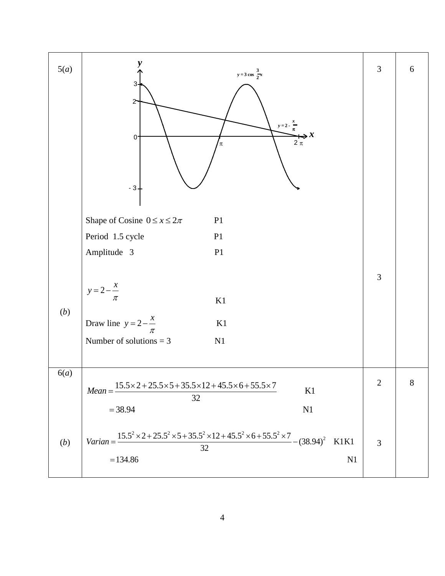| 5(a) | $y = 3 \cos \frac{3}{2}x$<br>3<br>$\mathbf{2}$<br>$y = 2 - \frac{x}{x}$<br>$\sum_{2\pi}$<br>0<br>π<br>$-31$                                                                                                        | 3              | 6     |
|------|--------------------------------------------------------------------------------------------------------------------------------------------------------------------------------------------------------------------|----------------|-------|
|      | Shape of Cosine $0 \le x \le 2\pi$<br>P1<br>Period 1.5 cycle<br>P1<br>Amplitude 3<br>P1                                                                                                                            | 3              |       |
| (b)  | $y=2-\frac{x}{\pi}$<br>$\rm K1$<br>Draw line $y = 2 - \frac{x}{\pi}$<br>K1<br>Number of solutions $=$ 3<br>N1                                                                                                      |                |       |
| 6(a) | $15.5 \times 2 + 25.5 \times 5 + 35.5 \times 12 + 45.5 \times 6 + 55.5 \times 7$<br>$Mean =$<br>K1<br>32<br>$= 38.94$<br>N1                                                                                        | $\overline{2}$ | $8\,$ |
| (b)  | Varian = $\frac{15.5^2 \times 2 + 25.5^2 \times 5 + 35.5^2 \times 12 + 45.5^2 \times 6 + 55.5^2 \times 7}{25.5^2 \times 12 + 45.5^2 \times 6 + 55.5^2 \times 7}$<br>$-(38.94)^2$<br>K1K1<br>32<br>$= 134.86$<br>N1 | $\overline{3}$ |       |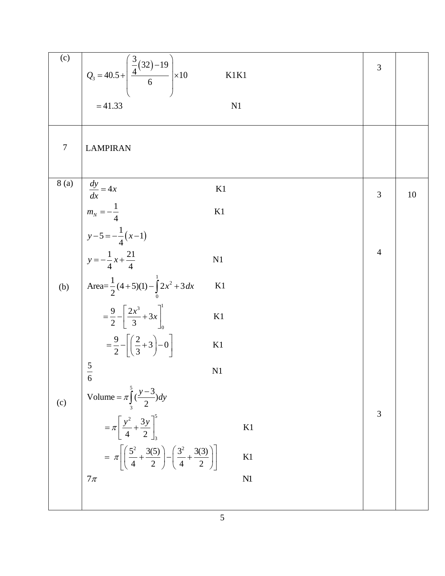| (c)    | $Q_3 = 40.5 + \left(\frac{\frac{3}{4}(32)-19}{6}\right) \times 10$<br>K1K1                                                 | 3              |    |
|--------|----------------------------------------------------------------------------------------------------------------------------|----------------|----|
|        | $= 41.33$<br>N <sub>1</sub>                                                                                                |                |    |
| $\tau$ | <b>LAMPIRAN</b>                                                                                                            |                |    |
| 8(a)   | $\frac{dy}{dx} = 4x$<br>$m_N = -\frac{1}{4}$<br>$y - 5 = -\frac{1}{4}(x - 1)$<br>K1                                        | 3              | 10 |
|        | K1                                                                                                                         |                |    |
|        | $y = -\frac{1}{4}x + \frac{21}{4}$<br>N1                                                                                   | $\overline{4}$ |    |
|        | (b) $\left[\text{Area}=\frac{1}{2}(4+5)(1)-\int_{0}^{1} 2x^2+3 dx\right]$<br>K1                                            |                |    |
|        | $=\frac{9}{2}-\left[\frac{2x^3}{3}+3x\right]_0^1$<br>K1                                                                    |                |    |
|        | $=\frac{9}{2}-\left[\left(\frac{2}{3}+3\right)-0\right]$<br>K1                                                             |                |    |
|        | $5\overline{)}$<br>N1<br>$\frac{1}{6}$                                                                                     |                |    |
| (c)    | Volume = $\pi \int_{3}^{5} \left(\frac{y-3}{2}\right) dy$                                                                  |                |    |
|        | $=\pi \left[\frac{y^2}{4} + \frac{3y}{2}\right]_3^5$<br>K1                                                                 | 3              |    |
|        | = $\pi \left[ \left( \frac{5^2}{4} + \frac{3(5)}{2} \right) - \left( \frac{3^2}{4} + \frac{3(3)}{2} \right) \right]$<br>K1 |                |    |
|        | $7\pi$<br>N1                                                                                                               |                |    |
|        |                                                                                                                            |                |    |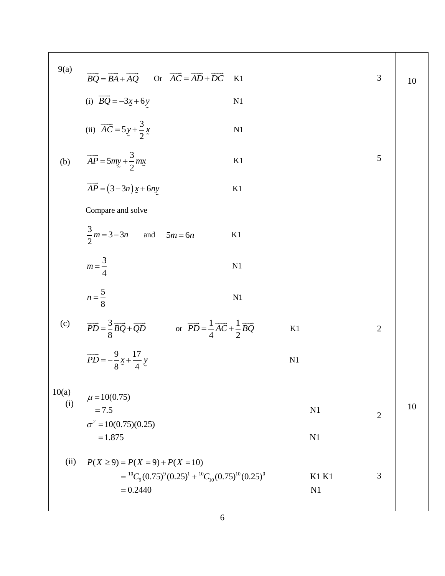| 9(a)         |                                                                                                                                                                                                                                                                                                                                                  |    |                    | 3              | 10 |
|--------------|--------------------------------------------------------------------------------------------------------------------------------------------------------------------------------------------------------------------------------------------------------------------------------------------------------------------------------------------------|----|--------------------|----------------|----|
|              |                                                                                                                                                                                                                                                                                                                                                  |    |                    |                |    |
|              | 9(a) $\overrightarrow{BQ} = \overrightarrow{BA} + \overrightarrow{AQ}$ Or $\overrightarrow{AC} = \overrightarrow{AD} + \overrightarrow{DC}$ K1<br>(i) $\overrightarrow{BQ} = -3x + 6y$ N1<br>(ii) $\overrightarrow{AC} = 5y + \frac{3}{2}x$ N1<br>(b) $\overrightarrow{AP} = 5my + \frac{3}{2}mx$ K1<br>$\overrightarrow{AP} = (3-3n)x + 6ny$ K1 |    |                    |                |    |
|              |                                                                                                                                                                                                                                                                                                                                                  |    |                    | 5              |    |
|              |                                                                                                                                                                                                                                                                                                                                                  |    |                    |                |    |
|              | Compare and solve                                                                                                                                                                                                                                                                                                                                |    |                    |                |    |
|              | $\frac{3}{2}m = 3 - 3n$ and $5m = 6n$                                                                                                                                                                                                                                                                                                            | K1 |                    |                |    |
|              | $m=\frac{3}{4}$                                                                                                                                                                                                                                                                                                                                  | N1 |                    |                |    |
|              | $n=\frac{5}{8}$                                                                                                                                                                                                                                                                                                                                  | N1 |                    |                |    |
|              | (c) $\overrightarrow{PD} = \frac{3}{8}\overrightarrow{BQ} + \overrightarrow{QD}$ or $\overrightarrow{PD} = \frac{1}{4}\overrightarrow{AC} + \frac{1}{2}\overrightarrow{BQ}$<br>$\overrightarrow{PD} = -\frac{9}{8}x + \frac{17}{4}y$                                                                                                             |    | K1                 | $\overline{2}$ |    |
|              |                                                                                                                                                                                                                                                                                                                                                  |    | N1                 |                |    |
| 10(a)<br>(i) | $\mu = 10(0.75)$                                                                                                                                                                                                                                                                                                                                 |    |                    |                |    |
|              | $= 7.5$<br>$\sigma^2 = 10(0.75)(0.25)$                                                                                                                                                                                                                                                                                                           |    | N1                 | $\overline{2}$ | 10 |
|              | $=1.875$                                                                                                                                                                                                                                                                                                                                         |    | N1                 |                |    |
| (ii)         | $P(X \ge 9) = P(X = 9) + P(X = 10)$<br>$= {}^{10}C_9 (0.75)^9 (0.25)^1 + {}^{10}C_{10} (0.75)^{10} (0.25)^0$<br>$= 0.2440$                                                                                                                                                                                                                       |    | <b>K1 K1</b><br>N1 | 3              |    |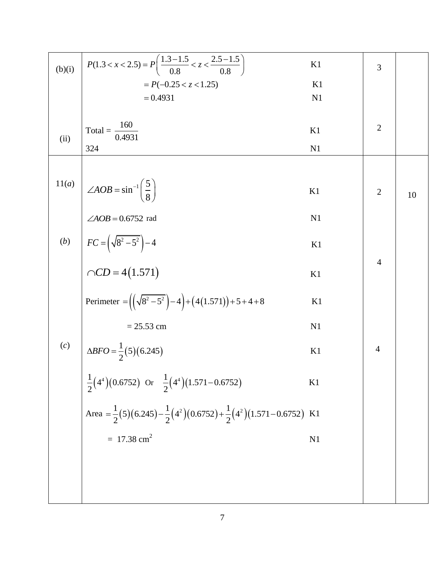| (b)(i) | $P(1.3 < x < 2.5) = P\left(\frac{1.3 - 1.5}{0.8} < z < \frac{2.5 - 1.5}{0.8}\right)$            | K1 | 3              |    |
|--------|-------------------------------------------------------------------------------------------------|----|----------------|----|
|        | $= P(-0.25 < z < 1.25)$                                                                         | K1 |                |    |
|        | $= 0.4931$                                                                                      | N1 |                |    |
|        |                                                                                                 |    |                |    |
| (ii)   | Total = $\frac{160}{0.4931}$                                                                    | K1 | $\overline{2}$ |    |
|        | 324                                                                                             | N1 |                |    |
|        |                                                                                                 |    |                |    |
| 11(a)  | $\angle AOB = \sin^{-1}\left(\frac{5}{8}\right)$                                                | K1 | $\overline{2}$ |    |
|        |                                                                                                 |    |                | 10 |
|        | $\angle AOB = 0.6752$ rad                                                                       | N1 |                |    |
|        |                                                                                                 | K1 |                |    |
|        |                                                                                                 |    | $\overline{4}$ |    |
|        | (b) $FC = (\sqrt{8^2 - 5^2})^{-4}$<br>$\cap CD = 4(1.571)$                                      | K1 |                |    |
|        |                                                                                                 |    |                |    |
|        | Perimeter = $((\sqrt{8^2-5^2})-4)+(4(1.571))+5+4+8$                                             | K1 |                |    |
|        | $= 25.53$ cm                                                                                    | N1 |                |    |
| (c)    | $\triangle BFO = \frac{1}{2}(5)(6.245)$                                                         | K1 | $\overline{4}$ |    |
|        | $2^{\times}$                                                                                    |    |                |    |
|        | $\frac{1}{2}(4^4)(0.6752)$ Or $\frac{1}{2}(4^4)(1.571-0.6752)$                                  | K1 |                |    |
|        |                                                                                                 |    |                |    |
|        | Area = $\frac{1}{2}(5)(6.245) - \frac{1}{2}(4^2)(0.6752) + \frac{1}{2}(4^2)(1.571 - 0.6752)$ K1 |    |                |    |
|        | $= 17.38$ cm <sup>2</sup>                                                                       | N1 |                |    |
|        |                                                                                                 |    |                |    |
|        |                                                                                                 |    |                |    |
|        |                                                                                                 |    |                |    |
|        |                                                                                                 |    |                |    |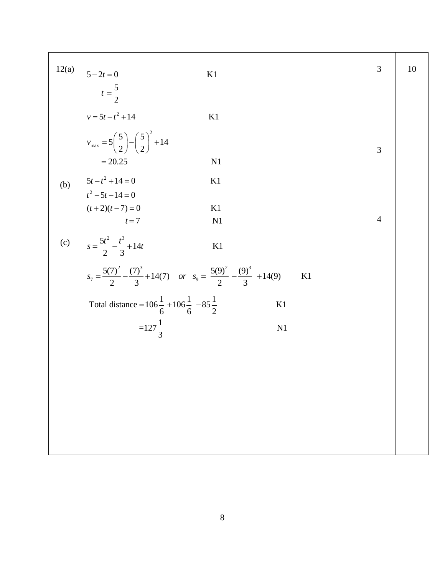|                                                                                                                                                                                                                                                                                                                                                   | 3              | 10 |
|---------------------------------------------------------------------------------------------------------------------------------------------------------------------------------------------------------------------------------------------------------------------------------------------------------------------------------------------------|----------------|----|
|                                                                                                                                                                                                                                                                                                                                                   |                |    |
|                                                                                                                                                                                                                                                                                                                                                   |                |    |
|                                                                                                                                                                                                                                                                                                                                                   | 3              |    |
|                                                                                                                                                                                                                                                                                                                                                   |                |    |
|                                                                                                                                                                                                                                                                                                                                                   |                |    |
|                                                                                                                                                                                                                                                                                                                                                   |                |    |
|                                                                                                                                                                                                                                                                                                                                                   | $\overline{4}$ |    |
|                                                                                                                                                                                                                                                                                                                                                   |                |    |
| $5-2t = 0$<br>$t = \frac{5}{2}$<br>$v = 5t - t^2 + 14$<br>$v_{\text{max}} = 5\left(\frac{5}{2}\right) - \left(\frac{5}{2}\right)^2 + 14$<br>$= 20.25$<br>$5t - t^2 + 14 = 0$<br>$t^2 - 5t - 14 = 0$<br>$t + 2)(t - 7) = 0$<br>$t = 7$<br>N1<br>$\frac{5t^2}{2} - \frac{t^3}{3} + 14t$<br>K1<br>$\frac{7(7)^2}{2} - \frac{(7)^3}{3} + 14(7)$<br>K1 |                |    |
|                                                                                                                                                                                                                                                                                                                                                   |                |    |
|                                                                                                                                                                                                                                                                                                                                                   |                |    |
|                                                                                                                                                                                                                                                                                                                                                   |                |    |
|                                                                                                                                                                                                                                                                                                                                                   |                |    |
|                                                                                                                                                                                                                                                                                                                                                   |                |    |
|                                                                                                                                                                                                                                                                                                                                                   |                |    |
|                                                                                                                                                                                                                                                                                                                                                   |                |    |
|                                                                                                                                                                                                                                                                                                                                                   |                |    |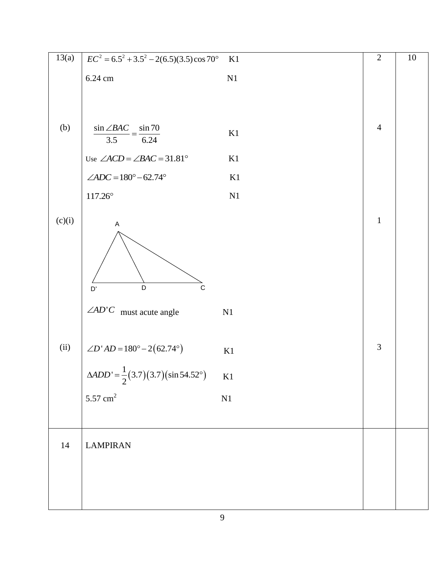| 13(a)  | $EC^2 = 6.5^2 + 3.5^2 - 2(6.5)(3.5)\cos 70^\circ$            | K1            | $\overline{2}$ | $10\,$ |
|--------|--------------------------------------------------------------|---------------|----------------|--------|
|        | 6.24 cm                                                      | $\mathbf{N}1$ |                |        |
|        |                                                              |               |                |        |
|        |                                                              |               |                |        |
| (b)    | $\sin \angle BAC$ = $\sin 70$<br>6.24<br>3.5                 | K1            | $\overline{4}$ |        |
|        | Use $\angle ACD = \angle BAC = 31.81^{\circ}$                | K1            |                |        |
|        | $\angle ADC = 180^{\circ} - 62.74^{\circ}$                   | K1            |                |        |
|        | $117.26^{\circ}$                                             | $\mathbf{N}1$ |                |        |
|        |                                                              |               |                |        |
| (c)(i) | $\mathsf A$<br>$\overline{\mathsf{D}}$<br>$\mathsf{C}$<br>D' |               | $\mathbf 1$    |        |
|        | $\angle AD'C$ must acute angle                               | N1            |                |        |
| (ii)   | $\angle D'AD = 180^\circ - 2(62.74^\circ)$                   | K1            | 3              |        |
|        | $\triangle ADD' = \frac{1}{2}(3.7)(3.7)(\sin 54.52^{\circ})$ | K1            |                |        |
|        | $5.57 \text{ cm}^2$                                          | $\mathbf{N}1$ |                |        |
|        |                                                              |               |                |        |
|        |                                                              |               |                |        |
| 14     | <b>LAMPIRAN</b>                                              |               |                |        |
|        |                                                              |               |                |        |
|        |                                                              |               |                |        |
|        |                                                              |               |                |        |
|        |                                                              |               |                |        |